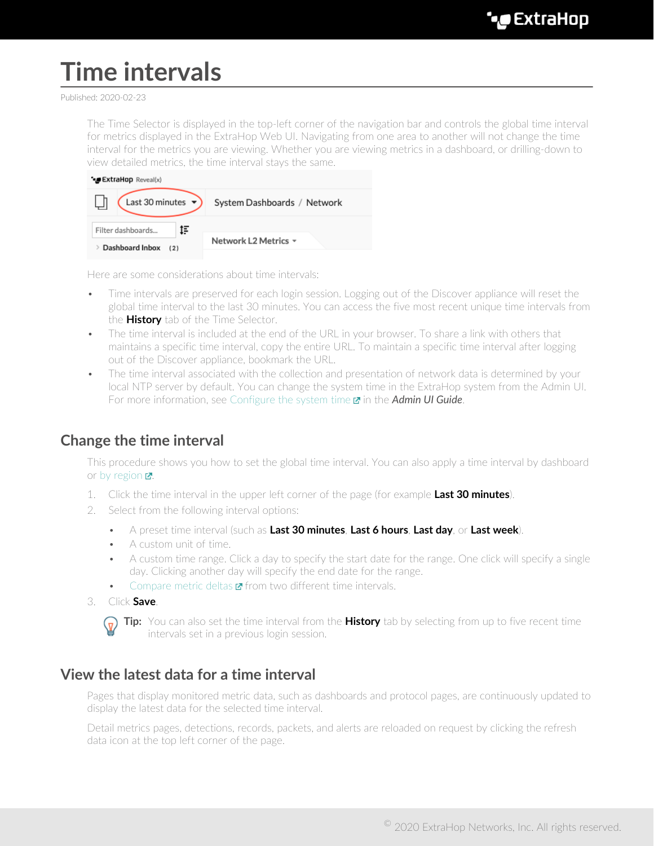# **Time intervals**

#### Published: 2020-02-23

The Time Selector is displayed in the top-left corner of the navigation bar and controls the global time interval for metrics displayed in the ExtraHop Web UI. Navigating from one area to another will not change the time interval for the metrics you are viewing. Whether you are viewing metrics in a dashboard, or drilling-down to view detailed metrics, the time interval stays the same.

| <b>ExtraHop</b> Reveal(x)     |                             |
|-------------------------------|-----------------------------|
| Last 30 minutes $\rightarrow$ | System Dashboards / Network |
| ţF<br>Filter dashboards       |                             |
| Dashboard Inbox<br>(2)        | Network L2 Metrics =        |
|                               |                             |

Here are some considerations about time intervals:

- Time intervals are preserved for each login session. Logging out of the Discover appliance will reset the global time interval to the last 30 minutes. You can access the five most recent unique time intervals from the **History** tab of the Time Selector.
- The time interval is included at the end of the URL in your browser. To share a link with others that maintains a specific time interval, copy the entire URL. To maintain a specific time interval after logging out of the Discover appliance, bookmark the URL.
- The time interval associated with the collection and presentation of network data is determined by your local NTP server by default. You can change the system time in the ExtraHop system from the Admin UI. For more information, see [Configure the system time](https://docs.extrahop.com/7.9/system-time) **E** in the *Admin UI Guide*.

#### <span id="page-0-0"></span>**Change the time interval**

This procedure shows you how to set the global time interval. You can also apply a time interval by dashboard or [by region](https://docs.extrahop.com/7.9/edit-dashboard-region/#change-the-time-interval-for-a-dashboard-region)  $\mathbb{Z}$ .

- 1. Click the time interval in the upper left corner of the page (for example **Last 30 minutes**).
- 2. Select from the following interval options:
	- A preset time interval (such as **Last 30 minutes**, **Last 6 hours**, **Last day**, or **Last week**).
	- A custom unit of time.
	- A custom time range. Click a day to specify the start date for the range. One click will specify a single day. Clicking another day will specify the end date for the range.
	- [Compare metric deltas](https://docs.extrahop.com/7.9/compare-metric-deltas)  $\mathbf{z}$  from two different time intervals.
- 3. Click **Save**.



**Tip:** You can also set the time interval from the **History** tab by selecting from up to five recent time intervals set in a previous login session.

### **View the latest data for a time interval**

Pages that display monitored metric data, such as dashboards and protocol pages, are continuously updated to display the latest data for the selected time interval.

Detail metrics pages, detections, records, packets, and alerts are reloaded on request by clicking the refresh data icon at the top left corner of the page.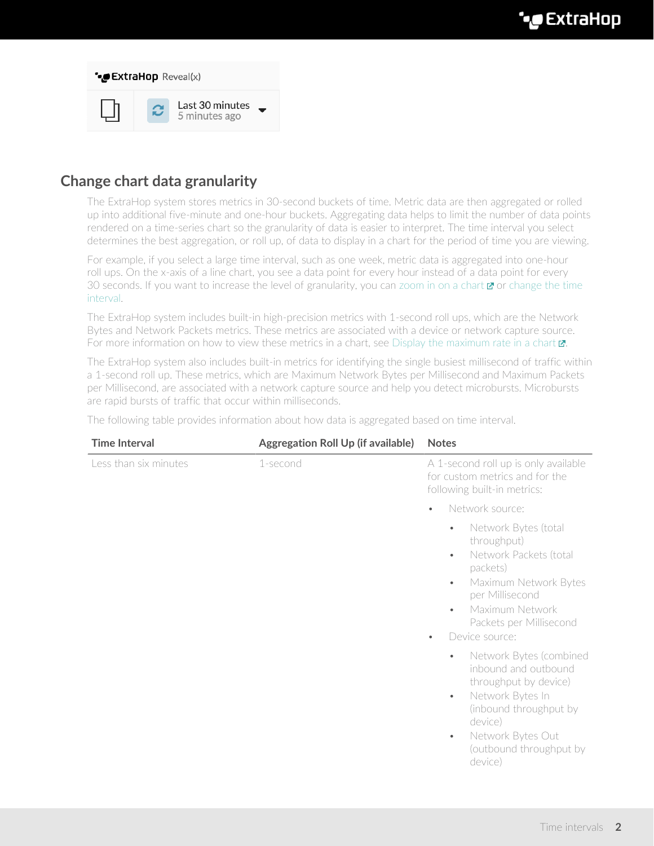

## **Change chart data granularity**

The ExtraHop system stores metrics in 30-second buckets of time. Metric data are then aggregated or rolled up into additional five-minute and one-hour buckets. Aggregating data helps to limit the number of data points rendered on a time-series chart so the granularity of data is easier to interpret. The time interval you select determines the best aggregation, or roll up, of data to display in a chart for the period of time you are viewing.

For example, if you select a large time interval, such as one week, metric data is aggregated into one-hour roll ups. On the x-axis of a line chart, you see a data point for every hour instead of a data point for every 30 seconds. If you want to increase the level of granularity, you can [zoom in on a chart](https://docs.extrahop.com/7.9/zoom-in-on-time-range)  $\mathbf{z}$  or [change the time](#page-0-0) [interval](#page-0-0).

The ExtraHop system includes built-in high-precision metrics with 1-second roll ups, which are the Network Bytes and Network Packets metrics. These metrics are associated with a device or network capture source. For more information on how to view these metrics in a chart, see Display the maximum rate in a chart  $\mathbb{Z}$ .

The ExtraHop system also includes built-in metrics for identifying the single busiest millisecond of traffic within a 1-second roll up. These metrics, which are Maximum Network Bytes per Millisecond and Maximum Packets per Millisecond, are associated with a network capture source and help you detect microbursts. Microbursts are rapid bursts of traffic that occur within milliseconds.

The following table provides information about how data is aggregated based on time interval.

| <b>Time Interval</b>  | <b>Aggregation Roll Up (if available)</b> | <b>Notes</b>                                                                                                                                                                                                                                           |
|-----------------------|-------------------------------------------|--------------------------------------------------------------------------------------------------------------------------------------------------------------------------------------------------------------------------------------------------------|
| Less than six minutes | 1-second                                  | A 1-second roll up is only available<br>for custom metrics and for the<br>following built-in metrics:                                                                                                                                                  |
|                       |                                           | Network source:<br>$\bullet$                                                                                                                                                                                                                           |
|                       |                                           | Network Bytes (total<br>$\bullet$<br>throughput)<br>Network Packets (total<br>$\bullet$<br>packets)<br>Maximum Network Bytes<br>$\bullet$<br>per Millisecond<br>Maximum Network<br>$\bullet$<br>Packets per Millisecond<br>Device source:<br>$\bullet$ |
|                       |                                           | Network Bytes (combined<br>$\bullet$<br>inbound and outbound<br>throughput by device)<br>Network Bytes In<br>$\bullet$<br>(inbound throughput by<br>device)<br>Network Bytes Out<br>$\bullet$<br>(outbound throughput by<br>device)                    |